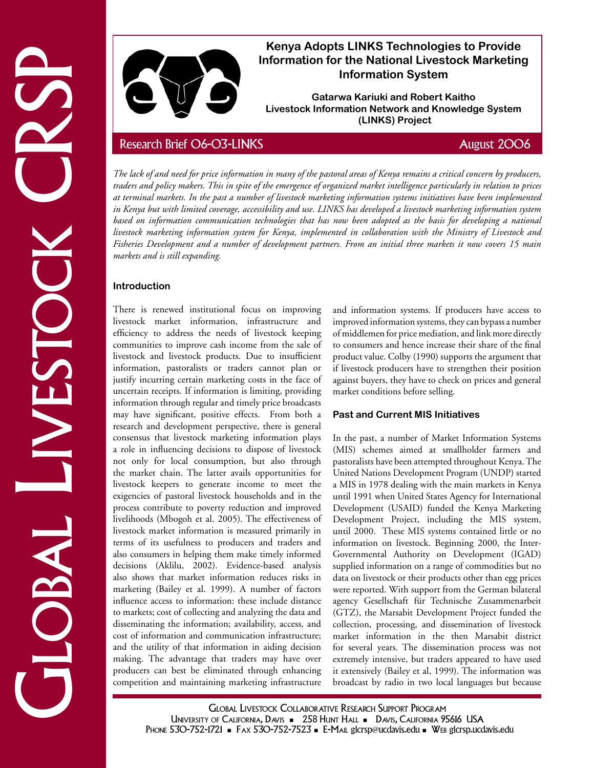

# **Kenya Adopts LINKS Technologies to Provide Information for the National Livestock Marketing Information System**

**Gatarwa Kariuki and Robert Kaitho Livestock Information Network and Knowledge System (LINKS) Project**

*The lack of and need for price information in many of the pastoral areas of Kenya remains a critical concern by producers, traders and policy makers. This in spite of the emergence of organized market intelligence particularly in relation to prices at terminal markets. In the past a number of livestock marketing information systems initiatives have been implemented in Kenya but with limited coverage, accessibility and use. LINKS has developed a livestock marketing information system*  based on information communication technologies that has now been adopted as the basis for developing a national *livestock marketing information system for Kenya, implemented in collaboration with the Ministry of Livestock and Fisheries Development and a number of development partners. From an initial three markets it now covers 15 main markets and is still expanding.*

# **Introduction**

Livestock CRSP Research Brief 06-03-LINKS August 2006 There is renewed institutional focus on improving livestock market information, infrastructure and efficiency to address the needs of livestock keeping communities to improve cash income from the sale of livestock and livestock products. Due to insufficient information, pastoralists or traders cannot plan or justify incurring certain marketing costs in the face of uncertain receipts. If information is limiting, providing information through regular and timely price broadcasts may have significant, positive effects. From both a research and development perspective, there is general consensus that livestock marketing information plays a role in influencing decisions to dispose of livestock not only for local consumption, but also through the market chain. The latter avails opportunities for livestock keepers to generate income to meet the exigencies of pastoral livestock households and in the process contribute to poverty reduction and improved livelihoods (Mbogoh et al. 2005). The effectiveness of livestock market information is measured primarily in terms of its usefulness to producers and traders and also consumers in helping them make timely informed decisions (Aklilu, 2002). Evidence-based analysis also shows that market information reduces risks in marketing (Bailey et al. 1999). A number of factors influence access to information: these include distance to markets; cost of collecting and analyzing the data and disseminating the information; availability, access, and cost of information and communication infrastructure; and the utility of that information in aiding decision making. The advantage that traders may have over producers can best be eliminated through enhancing competition and maintaining marketing infrastructure

and information systems. If producers have access to improved information systems, they can bypass a number of middlemen for price mediation, and link more directly to consumers and hence increase their share of the final product value. Colby (1990) supports the argument that if livestock producers have to strengthen their position against buyers, they have to check on prices and general market conditions before selling.

# **Past and Current MIS Initiatives**

In the past, a number of Market Information Systems (MIS) schemes aimed at smallholder farmers and pastoralists have been attempted throughout Kenya. The United Nations Development Program (UNDP) started a MIS in 1978 dealing with the main markets in Kenya until 1991 when United States Agency for International Development (USAID) funded the Kenya Marketing Development Project, including the MIS system, until 2000. These MIS systems contained little or no information on livestock. Beginning 2000, the Inter-Governmental Authority on Development (IGAD) supplied information on a range of commodities but no data on livestock or their products other than egg prices were reported. With support from the German bilateral agency Gesellschaft für Technische Zusammenarbeit (GTZ), the Marsabit Development Project funded the collection, processing, and dissemination of livestock market information in the then Marsabit district for several years. The dissemination process was not extremely intensive, but traders appeared to have used it extensively (Bailey et al, 1999). The information was broadcast by radio in two local languages but because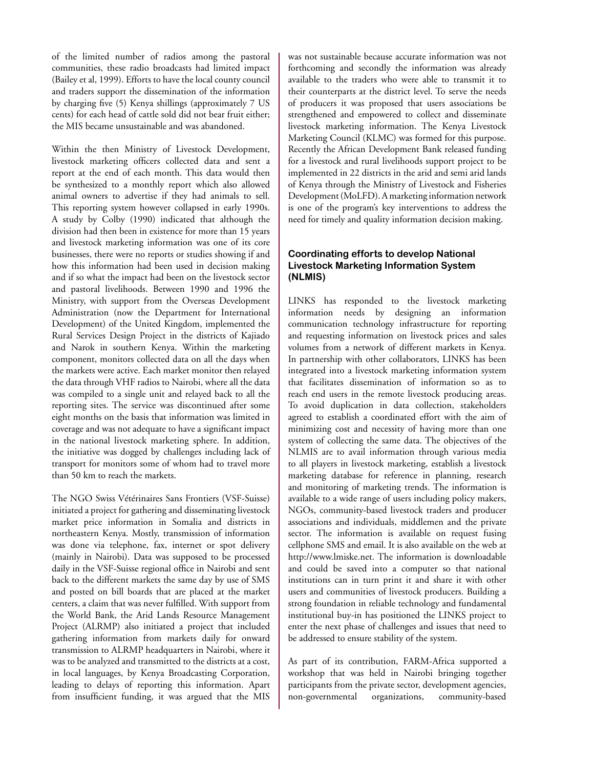of the limited number of radios among the pastoral communities, these radio broadcasts had limited impact (Bailey et al, 1999). Efforts to have the local county council and traders support the dissemination of the information by charging five (5) Kenya shillings (approximately 7 US cents) for each head of cattle sold did not bear fruit either; the MIS became unsustainable and was abandoned.

Within the then Ministry of Livestock Development, livestock marketing officers collected data and sent a report at the end of each month. This data would then be synthesized to a monthly report which also allowed animal owners to advertise if they had animals to sell. This reporting system however collapsed in early 1990s. A study by Colby (1990) indicated that although the division had then been in existence for more than 15 years and livestock marketing information was one of its core businesses, there were no reports or studies showing if and how this information had been used in decision making and if so what the impact had been on the livestock sector and pastoral livelihoods. Between 1990 and 1996 the Ministry, with support from the Overseas Development Administration (now the Department for International Development) of the United Kingdom, implemented the Rural Services Design Project in the districts of Kajiado and Narok in southern Kenya. Within the marketing component, monitors collected data on all the days when the markets were active. Each market monitor then relayed the data through VHF radios to Nairobi, where all the data was compiled to a single unit and relayed back to all the reporting sites. The service was discontinued after some eight months on the basis that information was limited in coverage and was not adequate to have a significant impact in the national livestock marketing sphere. In addition, the initiative was dogged by challenges including lack of transport for monitors some of whom had to travel more than 50 km to reach the markets.

The NGO Swiss Vétérinaires Sans Frontiers (VSF-Suisse) initiated a project for gathering and disseminating livestock market price information in Somalia and districts in northeastern Kenya. Mostly, transmission of information was done via telephone, fax, internet or spot delivery (mainly in Nairobi). Data was supposed to be processed daily in the VSF-Suisse regional office in Nairobi and sent back to the different markets the same day by use of SMS and posted on bill boards that are placed at the market centers, a claim that was never fulfilled. With support from the World Bank, the Arid Lands Resource Management Project (ALRMP) also initiated a project that included gathering information from markets daily for onward transmission to ALRMP headquarters in Nairobi, where it was to be analyzed and transmitted to the districts at a cost, in local languages, by Kenya Broadcasting Corporation, leading to delays of reporting this information. Apart from insufficient funding, it was argued that the MIS was not sustainable because accurate information was not forthcoming and secondly the information was already available to the traders who were able to transmit it to their counterparts at the district level. To serve the needs of producers it was proposed that users associations be strengthened and empowered to collect and disseminate livestock marketing information. The Kenya Livestock Marketing Council (KLMC) was formed for this purpose. Recently the African Development Bank released funding for a livestock and rural livelihoods support project to be implemented in 22 districts in the arid and semi arid lands of Kenya through the Ministry of Livestock and Fisheries Development (MoLFD). A marketing information network is one of the program's key interventions to address the need for timely and quality information decision making.

## **Coordinating efforts to develop National Livestock Marketing Information System (NLMIS)**

LINKS has responded to the livestock marketing information needs by designing an information communication technology infrastructure for reporting and requesting information on livestock prices and sales volumes from a network of different markets in Kenya. In partnership with other collaborators, LINKS has been integrated into a livestock marketing information system that facilitates dissemination of information so as to reach end users in the remote livestock producing areas. To avoid duplication in data collection, stakeholders agreed to establish a coordinated effort with the aim of minimizing cost and necessity of having more than one system of collecting the same data. The objectives of the NLMIS are to avail information through various media to all players in livestock marketing, establish a livestock marketing database for reference in planning, research and monitoring of marketing trends. The information is available to a wide range of users including policy makers, NGOs, community-based livestock traders and producer associations and individuals, middlemen and the private sector. The information is available on request fusing cellphone SMS and email. It is also available on the web at http://www.lmiske.net. The information is downloadable and could be saved into a computer so that national institutions can in turn print it and share it with other users and communities of livestock producers. Building a strong foundation in reliable technology and fundamental institutional buy-in has positioned the LINKS project to enter the next phase of challenges and issues that need to be addressed to ensure stability of the system.

As part of its contribution, FARM-Africa supported a workshop that was held in Nairobi bringing together participants from the private sector, development agencies, non-governmental organizations, community-based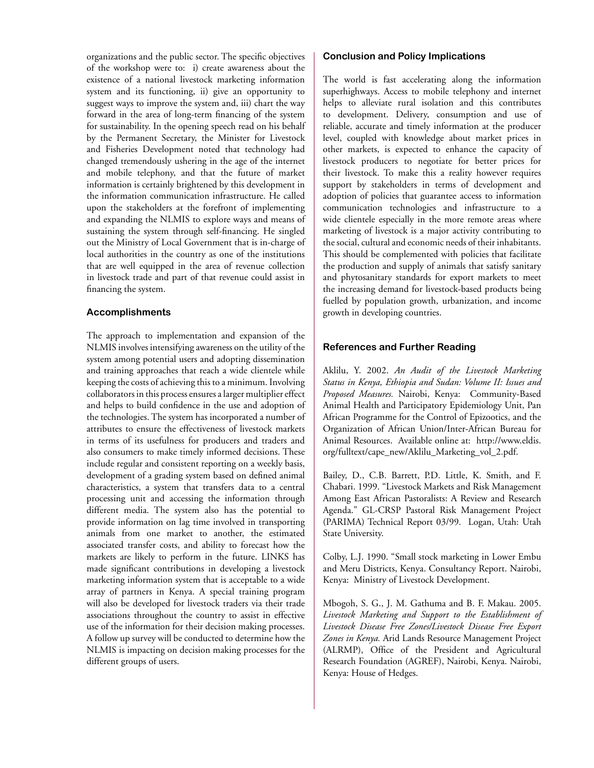organizations and the public sector. The specific objectives of the workshop were to: i) create awareness about the existence of a national livestock marketing information system and its functioning, ii) give an opportunity to suggest ways to improve the system and, iii) chart the way forward in the area of long-term financing of the system for sustainability. In the opening speech read on his behalf by the Permanent Secretary, the Minister for Livestock and Fisheries Development noted that technology had changed tremendously ushering in the age of the internet and mobile telephony, and that the future of market information is certainly brightened by this development in the information communication infrastructure. He called upon the stakeholders at the forefront of implementing and expanding the NLMIS to explore ways and means of sustaining the system through self-financing. He singled out the Ministry of Local Government that is in-charge of local authorities in the country as one of the institutions that are well equipped in the area of revenue collection in livestock trade and part of that revenue could assist in financing the system.

### **Accomplishments**

The approach to implementation and expansion of the NLMIS involves intensifying awareness on the utility of the system among potential users and adopting dissemination and training approaches that reach a wide clientele while keeping the costs of achieving this to a minimum. Involving collaborators in this process ensures a larger multiplier effect and helps to build confidence in the use and adoption of the technologies. The system has incorporated a number of attributes to ensure the effectiveness of livestock markets in terms of its usefulness for producers and traders and also consumers to make timely informed decisions. These include regular and consistent reporting on a weekly basis, development of a grading system based on defined animal characteristics, a system that transfers data to a central processing unit and accessing the information through different media. The system also has the potential to provide information on lag time involved in transporting animals from one market to another, the estimated associated transfer costs, and ability to forecast how the markets are likely to perform in the future. LINKS has made significant contributions in developing a livestock marketing information system that is acceptable to a wide array of partners in Kenya. A special training program will also be developed for livestock traders via their trade associations throughout the country to assist in effective use of the information for their decision making processes. A follow up survey will be conducted to determine how the NLMIS is impacting on decision making processes for the different groups of users.

#### **Conclusion and Policy Implications**

The world is fast accelerating along the information superhighways. Access to mobile telephony and internet helps to alleviate rural isolation and this contributes to development. Delivery, consumption and use of reliable, accurate and timely information at the producer level, coupled with knowledge about market prices in other markets, is expected to enhance the capacity of livestock producers to negotiate for better prices for their livestock. To make this a reality however requires support by stakeholders in terms of development and adoption of policies that guarantee access to information communication technologies and infrastructure to a wide clientele especially in the more remote areas where marketing of livestock is a major activity contributing to the social, cultural and economic needs of their inhabitants. This should be complemented with policies that facilitate the production and supply of animals that satisfy sanitary and phytosanitary standards for export markets to meet the increasing demand for livestock-based products being fuelled by population growth, urbanization, and income growth in developing countries.

### **References and Further Reading**

Aklilu, Y. 2002. *An Audit of the Livestock Marketing Status in Kenya, Ethiopia and Sudan: Volume II: Issues and Proposed Measures.* Nairobi, Kenya: Community-Based Animal Health and Participatory Epidemiology Unit, Pan African Programme for the Control of Epizootics, and the Organization of African Union/Inter-African Bureau for Animal Resources. Available online at: http://www.eldis. org/fulltext/cape\_new/Aklilu\_Marketing\_vol\_2.pdf.

Bailey, D., C.B. Barrett, P.D. Little, K. Smith, and F. Chabari. 1999. "Livestock Markets and Risk Management Among East African Pastoralists: A Review and Research Agenda." GL-CRSP Pastoral Risk Management Project (PARIMA) Technical Report 03/99. Logan, Utah: Utah State University.

Colby, L.J. 1990. "Small stock marketing in Lower Embu and Meru Districts, Kenya. Consultancy Report. Nairobi, Kenya: Ministry of Livestock Development.

Mbogoh, S. G., J. M. Gathuma and B. F. Makau. 2005. *Livestock Marketing and Support to the Establishment of Livestock Disease Free Zones/Livestock Disease Free Export Zones in Kenya.* Arid Lands Resource Management Project (ALRMP), Office of the President and Agricultural Research Foundation (AGREF), Nairobi, Kenya. Nairobi, Kenya: House of Hedges.